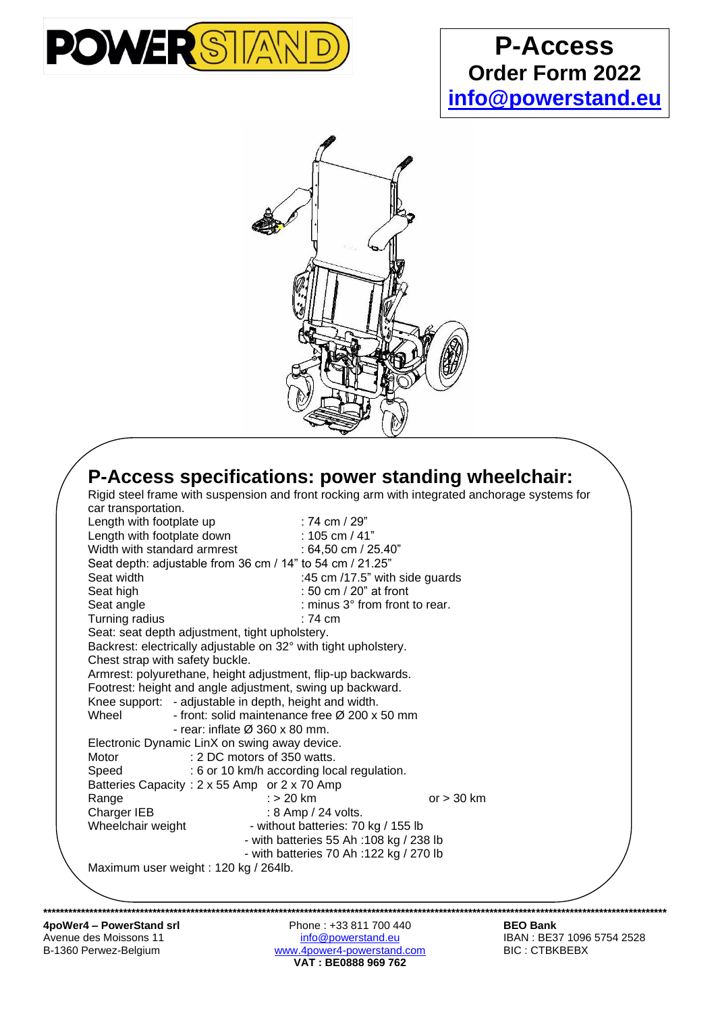

## **P-Access Order Form 2022 [info@powerstand.eu](mailto:info@powerstand.eu)**



| car transportation.<br>Length with footplate up                 | : 74 cm / 29"                                                             |                        |  |  |
|-----------------------------------------------------------------|---------------------------------------------------------------------------|------------------------|--|--|
|                                                                 | Length with footplate down<br>Width with standard armrest : 64,50 cm / 29 |                        |  |  |
|                                                                 |                                                                           | : 64,50 cm / 25.40"    |  |  |
|                                                                 |                                                                           |                        |  |  |
| Seat depth: adjustable from 36 cm / 14" to 54 cm / 21.25"       |                                                                           |                        |  |  |
| Seat width                                                      | :45 cm /17.5" with side guards                                            |                        |  |  |
| Seat high                                                       |                                                                           | : 50 cm / 20" at front |  |  |
| Seat angle                                                      | : minus 3° from front to rear.                                            |                        |  |  |
| Turning radius                                                  | $:74 \text{ cm}$                                                          |                        |  |  |
| Seat: seat depth adjustment, tight upholstery.                  |                                                                           |                        |  |  |
| Backrest: electrically adjustable on 32° with tight upholstery. |                                                                           |                        |  |  |
| Chest strap with safety buckle.                                 |                                                                           |                        |  |  |
| Armrest: polyurethane, height adjustment, flip-up backwards.    |                                                                           |                        |  |  |
| Footrest: height and angle adjustment, swing up backward.       |                                                                           |                        |  |  |
| Knee support: - adjustable in depth, height and width.          |                                                                           |                        |  |  |
| Wheel                                                           | - front: solid maintenance free Ø 200 x 50 mm                             |                        |  |  |
| - rear: inflate $\varnothing$ 360 x 80 mm.                      |                                                                           |                        |  |  |
| Electronic Dynamic LinX on swing away device.                   |                                                                           |                        |  |  |
| Motor                                                           | : 2 DC motors of 350 watts.                                               |                        |  |  |
| Speed                                                           | : 6 or 10 km/h according local regulation.                                |                        |  |  |
| Batteries Capacity: 2 x 55 Amp or 2 x 70 Amp                    |                                                                           |                        |  |  |
| Range                                                           | : $> 20$ km                                                               | or $> 30$ km           |  |  |
| Charger IEB                                                     | : 8 Amp / 24 volts.                                                       |                        |  |  |
| Wheelchair weight                                               | - without batteries: 70 kg / 155 lb                                       |                        |  |  |
|                                                                 | - with batteries 55 Ah : 108 kg / 238 lb                                  |                        |  |  |
|                                                                 | - with batteries 70 Ah : 122 kg / 270 lb                                  |                        |  |  |
| Maximum user weight: 120 kg / 264lb.                            |                                                                           |                        |  |  |

**4poWer4 – PowerStand srl** Phone : +33 811 700 440 **BEO Bank**<br>
Avenue des Moissons 11 **Phone : +33 811 700 440** BEO Bank<br>
<u>info@powerstand.eu</u> BE37 1096 5754 2528 Avenue des Moissons 11 [info@powerstand.eu](mailto:info@powerstand.eu) info@powerstand.eu IBAN : BE37 1096 5754 2528 B-1360 Perwez-Belgium et al. [www.4power4-powerstand.com](http://www.4power4-powerstand.com/) BIC : CTBKBEBX **VAT : BE0888 969 762**